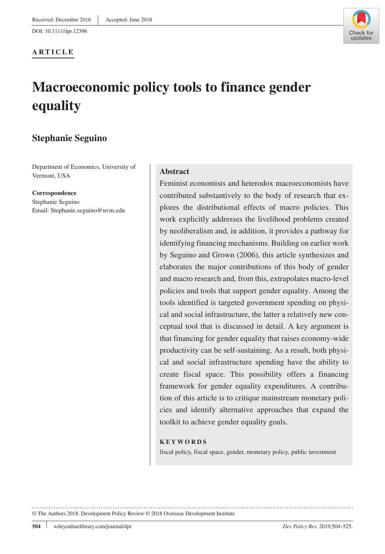DOI: 10.1111/dpr.12396

## **ARTICLE**



# **Macroeconomic policy tools to finance gender equality**

## **Stephanie Seguino**

Department of Economics, University of Vermont, USA

**Correspondence** Stephanie Seguino Email: [Stephanie.seguino@uvm.edu](mailto:Stephanie.seguino@uvm.edu)

### **Abstract**

Feminist economists and heterodox macroeconomists have contributed substantively to the body of research that explores the distributional effects of macro policies. This work explicitly addresses the livelihood problems created by neoliberalism and, in addition, it provides a pathway for identifying financing mechanisms. Building on earlier work by Seguino and Grown (2006), this article synthesizes and elaborates the major contributions of this body of gender and macro research and, from this, extrapolates macro-level policies and tools that support gender equality. Among the tools identified is targeted government spending on physical and social infrastructure, the latter a relatively new conceptual tool that is discussed in detail. A key argument is that financing for gender equality that raises economy-wide productivity can be self-sustaining. As a result, both physical and social infrastructure spending have the ability to create fiscal space. This possibility offers a financing framework for gender equality expenditures. A contribution of this article is to critique mainstream monetary policies and identify alternative approaches that expand the toolkit to achieve gender equality goals.

#### **KEYWORDS**

fiscal policy, fiscal space, gender, monetary policy, public investment

© The Authors 2018. Development Policy Review © 2018 Overseas Development Institute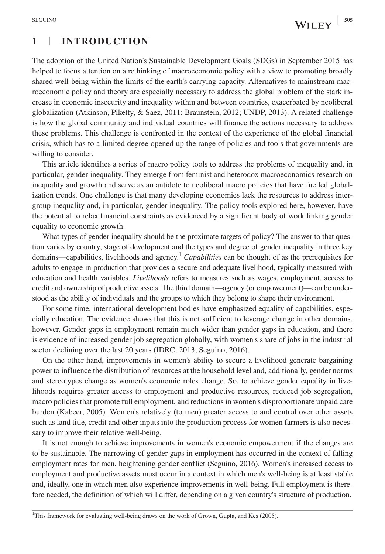## **1** | **INTRODUCTION**

The adoption of the United Nation's Sustainable Development Goals (SDGs) in September 2015 has helped to focus attention on a rethinking of macroeconomic policy with a view to promoting broadly shared well-being within the limits of the earth's carrying capacity. Alternatives to mainstream macroeconomic policy and theory are especially necessary to address the global problem of the stark increase in economic insecurity and inequality within and between countries, exacerbated by neoliberal globalization (Atkinson, Piketty, & Saez, 2011; Braunstein, 2012; UNDP, 2013). A related challenge is how the global community and individual countries will finance the actions necessary to address these problems. This challenge is confronted in the context of the experience of the global financial crisis, which has to a limited degree opened up the range of policies and tools that governments are willing to consider.

This article identifies a series of macro policy tools to address the problems of inequality and, in particular, gender inequality. They emerge from feminist and heterodox macroeconomics research on inequality and growth and serve as an antidote to neoliberal macro policies that have fuelled globalization trends. One challenge is that many developing economies lack the resources to address intergroup inequality and, in particular, gender inequality. The policy tools explored here, however, have the potential to relax financial constraints as evidenced by a significant body of work linking gender equality to economic growth.

What types of gender inequality should be the proximate targets of policy? The answer to that question varies by country, stage of development and the types and degree of gender inequality in three key domains—capabilities, livelihoods and agency.1 *Capabilities* can be thought of as the prerequisites for adults to engage in production that provides a secure and adequate livelihood, typically measured with education and health variables. *Livelihoods* refers to measures such as wages, employment, access to credit and ownership of productive assets. The third domain—agency (or empowerment)—can be understood as the ability of individuals and the groups to which they belong to shape their environment.

For some time, international development bodies have emphasized equality of capabilities, especially education. The evidence shows that this is not sufficient to leverage change in other domains, however. Gender gaps in employment remain much wider than gender gaps in education, and there is evidence of increased gender job segregation globally, with women's share of jobs in the industrial sector declining over the last 20 years (IDRC, 2013; Seguino, 2016).

On the other hand, improvements in women's ability to secure a livelihood generate bargaining power to influence the distribution of resources at the household level and, additionally, gender norms and stereotypes change as women's economic roles change. So, to achieve gender equality in livelihoods requires greater access to employment and productive resources, reduced job segregation, macro policies that promote full employment, and reductions in women's disproportionate unpaid care burden (Kabeer, 2005). Women's relatively (to men) greater access to and control over other assets such as land title, credit and other inputs into the production process for women farmers is also necessary to improve their relative well-being.

It is not enough to achieve improvements in women's economic empowerment if the changes are to be sustainable. The narrowing of gender gaps in employment has occurred in the context of falling employment rates for men, heightening gender conflict (Seguino, 2016). Women's increased access to employment and productive assets must occur in a context in which men's well-being is at least stable and, ideally, one in which men also experience improvements in well-being. Full employment is therefore needed, the definition of which will differ, depending on a given country's structure of production.

<sup>&</sup>lt;sup>1</sup>This framework for evaluating well-being draws on the work of Grown, Gupta, and Kes (2005).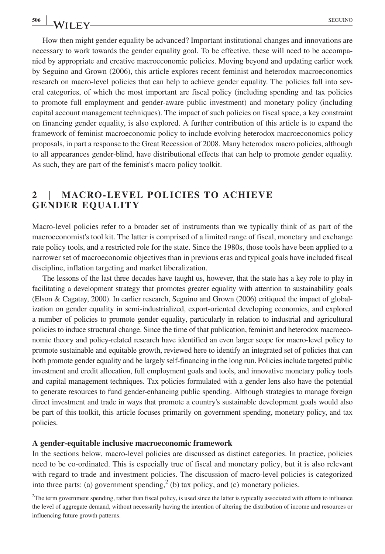How then might gender equality be advanced? Important institutional changes and innovations are necessary to work towards the gender equality goal. To be effective, these will need to be accompanied by appropriate and creative macroeconomic policies. Moving beyond and updating earlier work by Seguino and Grown (2006), this article explores recent feminist and heterodox macroeconomics research on macro-level policies that can help to achieve gender equality. The policies fall into several categories, of which the most important are fiscal policy (including spending and tax policies to promote full employment and gender-aware public investment) and monetary policy (including capital account management techniques). The impact of such policies on fiscal space, a key constraint on financing gender equality, is also explored. A further contribution of this article is to expand the framework of feminist macroeconomic policy to include evolving heterodox macroeconomics policy proposals, in part a response to the Great Recession of 2008. Many heterodox macro policies, although to all appearances gender-blind, have distributional effects that can help to promote gender equality. As such, they are part of the feminist's macro policy toolkit.

## **2** | **MACRO-LEVEL POLICIES TO ACHIEVE GENDER EQUALITY**

Macro-level policies refer to a broader set of instruments than we typically think of as part of the macroeconomist's tool kit. The latter is comprised of a limited range of fiscal, monetary and exchange rate policy tools, and a restricted role for the state. Since the 1980s, those tools have been applied to a narrower set of macroeconomic objectives than in previous eras and typical goals have included fiscal discipline, inflation targeting and market liberalization.

The lessons of the last three decades have taught us, however, that the state has a key role to play in facilitating a development strategy that promotes greater equality with attention to sustainability goals (Elson & Cagatay, 2000). In earlier research, Seguino and Grown (2006) critiqued the impact of globalization on gender equality in semi-industrialized, export-oriented developing economies, and explored a number of policies to promote gender equality, particularly in relation to industrial and agricultural policies to induce structural change. Since the time of that publication, feminist and heterodox macroeconomic theory and policy-related research have identified an even larger scope for macro-level policy to promote sustainable and equitable growth, reviewed here to identify an integrated set of policies that can both promote gender equality and be largely self-financing in the long run. Policies include targeted public investment and credit allocation, full employment goals and tools, and innovative monetary policy tools and capital management techniques. Tax policies formulated with a gender lens also have the potential to generate resources to fund gender-enhancing public spending. Although strategies to manage foreign direct investment and trade in ways that promote a country's sustainable development goals would also be part of this toolkit, this article focuses primarily on government spending, monetary policy, and tax policies.

#### **A gender-equitable inclusive macroeconomic framework**

In the sections below, macro-level policies are discussed as distinct categories. In practice, policies need to be co-ordinated. This is especially true of fiscal and monetary policy, but it is also relevant with regard to trade and investment policies. The discussion of macro-level policies is categorized into three parts: (a) government spending,<sup>2</sup> (b) tax policy, and (c) monetary policies.

 ${}^{2}$ The term government spending, rather than fiscal policy, is used since the latter is typically associated with efforts to influence the level of aggregate demand, without necessarily having the intention of altering the distribution of income and resources or influencing future growth patterns.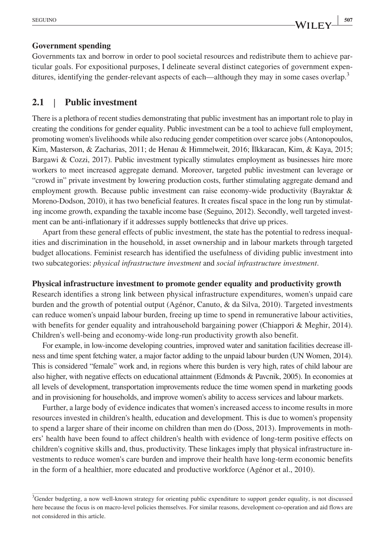## **Government spending**

Governments tax and borrow in order to pool societal resources and redistribute them to achieve particular goals. For expositional purposes, I delineate several distinct categories of government expenditures, identifying the gender-relevant aspects of each—although they may in some cases overlap.<sup>3</sup>

## **2.1** | **Public investment**

There is a plethora of recent studies demonstrating that public investment has an important role to play in creating the conditions for gender equality. Public investment can be a tool to achieve full employment, promoting women's livelihoods while also reducing gender competition over scarce jobs (Antonopoulos, Kim, Masterson, & Zacharias, 2011; de Henau & Himmelweit, 2016; İlkkaracan, Kim, & Kaya, 2015; Bargawi & Cozzi, 2017). Public investment typically stimulates employment as businesses hire more workers to meet increased aggregate demand. Moreover, targeted public investment can leverage or "crowd in" private investment by lowering production costs, further stimulating aggregate demand and employment growth. Because public investment can raise economy-wide productivity (Bayraktar & Moreno-Dodson, 2010), it has two beneficial features. It creates fiscal space in the long run by stimulating income growth, expanding the taxable income base (Seguino, 2012). Secondly, well targeted investment can be anti-inflationary if it addresses supply bottlenecks that drive up prices.

Apart from these general effects of public investment, the state has the potential to redress inequalities and discrimination in the household, in asset ownership and in labour markets through targeted budget allocations. Feminist research has identified the usefulness of dividing public investment into two subcategories: *physical infrastructure investment* and *social infrastructure investment*.

#### **Physical infrastructure investment to promote gender equality and productivity growth**

Research identifies a strong link between physical infrastructure expenditures, women's unpaid care burden and the growth of potential output (Agénor, Canuto, & da Silva, 2010). Targeted investments can reduce women's unpaid labour burden, freeing up time to spend in remunerative labour activities, with benefits for gender equality and intrahousehold bargaining power (Chiappori & Meghir, 2014). Children's well-being and economy-wide long-run productivity growth also benefit.

For example, in low-income developing countries, improved water and sanitation facilities decrease illness and time spent fetching water, a major factor adding to the unpaid labour burden (UN Women, 2014). This is considered "female" work and, in regions where this burden is very high, rates of child labour are also higher, with negative effects on educational attainment (Edmonds & Pavcnik, 2005). In economies at all levels of development, transportation improvements reduce the time women spend in marketing goods and in provisioning for households, and improve women's ability to access services and labour markets.

Further, a large body of evidence indicates that women's increased access to income results in more resources invested in children's health, education and development. This is due to women's propensity to spend a larger share of their income on children than men do (Doss, 2013). Improvements in mothers' health have been found to affect children's health with evidence of long-term positive effects on children's cognitive skills and, thus, productivity. These linkages imply that physical infrastructure investments to reduce women's care burden and improve their health have long-term economic benefits in the form of a healthier, more educated and productive workforce (Agénor et al., 2010).

<sup>3</sup> Gender budgeting, a now well-known strategy for orienting public expenditure to support gender equality, is not discussed here because the focus is on macro-level policies themselves. For similar reasons, development co-operation and aid flows are not considered in this article.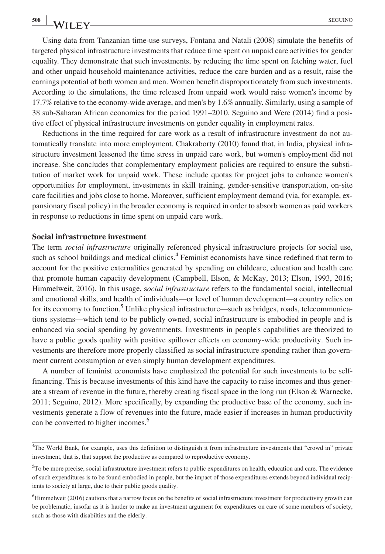Using data from Tanzanian time-use surveys, Fontana and Natali (2008) simulate the benefits of targeted physical infrastructure investments that reduce time spent on unpaid care activities for gender equality. They demonstrate that such investments, by reducing the time spent on fetching water, fuel and other unpaid household maintenance activities, reduce the care burden and as a result, raise the earnings potential of both women and men. Women benefit disproportionately from such investments. According to the simulations, the time released from unpaid work would raise women's income by 17.7% relative to the economy-wide average, and men's by 1.6% annually. Similarly, using a sample of 38 sub-Saharan African economies for the period 1991–2010, Seguino and Were (2014) find a positive effect of physical infrastructure investments on gender equality in employment rates.

Reductions in the time required for care work as a result of infrastructure investment do not automatically translate into more employment. Chakraborty (2010) found that, in India, physical infrastructure investment lessened the time stress in unpaid care work, but women's employment did not increase. She concludes that complementary employment policies are required to ensure the substitution of market work for unpaid work. These include quotas for project jobs to enhance women's opportunities for employment, investments in skill training, gender-sensitive transportation, on-site care facilities and jobs close to home. Moreover, sufficient employment demand (via, for example, expansionary fiscal policy) in the broader economy is required in order to absorb women as paid workers in response to reductions in time spent on unpaid care work.

#### **Social infrastructure investment**

The term *social infrastructure* originally referenced physical infrastructure projects for social use, such as school buildings and medical clinics.<sup>4</sup> Feminist economists have since redefined that term to account for the positive externalities generated by spending on childcare, education and health care that promote human capacity development (Campbell, Elson, & McKay, 2013; Elson, 1993, 2016; Himmelweit, 2016). In this usage, s*ocial infrastructure* refers to the fundamental social, intellectual and emotional skills, and health of individuals—or level of human development—a country relies on for its economy to function.<sup>5</sup> Unlike physical infrastructure—such as bridges, roads, telecommunications systems—which tend to be publicly owned, social infrastructure is embodied in people and is enhanced via social spending by governments. Investments in people's capabilities are theorized to have a public goods quality with positive spillover effects on economy-wide productivity. Such investments are therefore more properly classified as social infrastructure spending rather than government current consumption or even simply human development expenditures.

A number of feminist economists have emphasized the potential for such investments to be selffinancing. This is because investments of this kind have the capacity to raise incomes and thus generate a stream of revenue in the future, thereby creating fiscal space in the long run (Elson & Warnecke, 2011; Seguino, 2012). More specifically, by expanding the productive base of the economy, such investments generate a flow of revenues into the future, made easier if increases in human productivity can be converted to higher incomes.<sup>6</sup>

<sup>4</sup> The World Bank, for example, uses this definition to distinguish it from infrastructure investments that "crowd in" private investment, that is, that support the productive as compared to reproductive economy.

<sup>5</sup> To be more precise, social infrastructure investment refers to public expenditures on health, education and care. The evidence of such expenditures is to be found embodied in people, but the impact of those expenditures extends beyond individual recipients to society at large, due to their public goods quality.

<sup>&</sup>lt;sup>6</sup>Himmelweit (2016) cautions that a narrow focus on the benefits of social infrastructure investment for productivity growth can be problematic, insofar as it is harder to make an investment argument for expenditures on care of some members of society, such as those with disabilties and the elderly.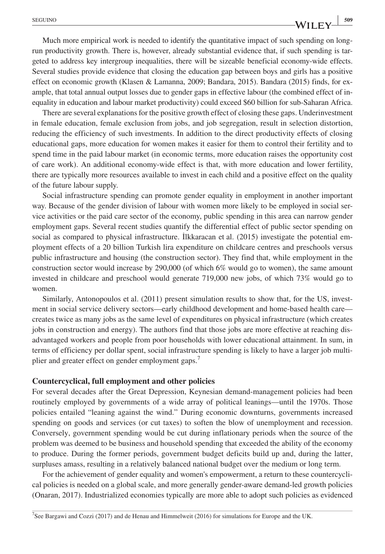Much more empirical work is needed to identify the quantitative impact of such spending on longrun productivity growth. There is, however, already substantial evidence that, if such spending is targeted to address key intergroup inequalities, there will be sizeable beneficial economy-wide effects. Several studies provide evidence that closing the education gap between boys and girls has a positive effect on economic growth (Klasen & Lamanna, 2009; Bandara, 2015). Bandara (2015) finds, for example, that total annual output losses due to gender gaps in effective labour (the combined effect of inequality in education and labour market productivity) could exceed \$60 billion for sub-Saharan Africa.

There are several explanations for the positive growth effect of closing these gaps. Underinvestment in female education, female exclusion from jobs, and job segregation, result in selection distortion, reducing the efficiency of such investments. In addition to the direct productivity effects of closing educational gaps, more education for women makes it easier for them to control their fertility and to spend time in the paid labour market (in economic terms, more education raises the opportunity cost of care work). An additional economy-wide effect is that, with more education and lower fertility, there are typically more resources available to invest in each child and a positive effect on the quality of the future labour supply.

Social infrastructure spending can promote gender equality in employment in another important way. Because of the gender division of labour with women more likely to be employed in social service activities or the paid care sector of the economy, public spending in this area can narrow gender employment gaps. Several recent studies quantify the differential effect of public sector spending on social as compared to physical infrastructure. İlkkaracan et al. (2015) investigate the potential employment effects of a 20 billion Turkish lira expenditure on childcare centres and preschools versus public infrastructure and housing (the construction sector). They find that, while employment in the construction sector would increase by 290,000 (of which 6% would go to women), the same amount invested in childcare and preschool would generate 719,000 new jobs, of which 73% would go to women.

Similarly, Antonopoulos et al. (2011) present simulation results to show that, for the US, investment in social service delivery sectors—early childhood development and home-based health care creates twice as many jobs as the same level of expenditures on physical infrastructure (which creates jobs in construction and energy). The authors find that those jobs are more effective at reaching disadvantaged workers and people from poor households with lower educational attainment. In sum, in terms of efficiency per dollar spent, social infrastructure spending is likely to have a larger job multiplier and greater effect on gender employment gaps.<sup>7</sup>

#### **Countercyclical, full employment and other policies**

For several decades after the Great Depression, Keynesian demand-management policies had been routinely employed by governments of a wide array of political leanings—until the 1970s. Those policies entailed "leaning against the wind." During economic downturns, governments increased spending on goods and services (or cut taxes) to soften the blow of unemployment and recession. Conversely, government spending would be cut during inflationary periods when the source of the problem was deemed to be business and household spending that exceeded the ability of the economy to produce. During the former periods, government budget deficits build up and, during the latter, surpluses amass, resulting in a relatively balanced national budget over the medium or long term.

For the achievement of gender equality and women's empowerment, a return to these countercyclical policies is needed on a global scale, and more generally gender-aware demand-led growth policies (Onaran, 2017). Industrialized economies typically are more able to adopt such policies as evidenced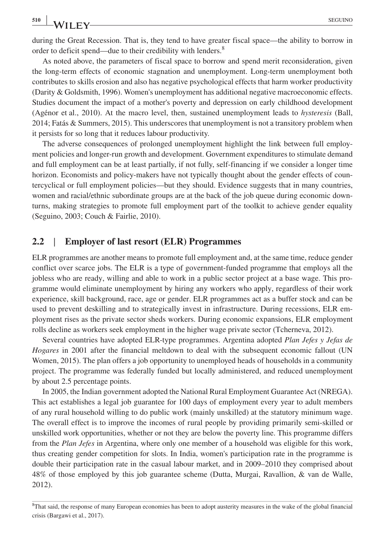during the Great Recession. That is, they tend to have greater fiscal space—the ability to borrow in order to deficit spend—due to their credibility with lenders.<sup>8</sup>

As noted above, the parameters of fiscal space to borrow and spend merit reconsideration, given the long-term effects of economic stagnation and unemployment. Long-term unemployment both contributes to skills erosion and also has negative psychological effects that harm worker productivity (Darity & Goldsmith, 1996). Women's unemployment has additional negative macroeconomic effects. Studies document the impact of a mother's poverty and depression on early childhood development (Agénor et al., 2010). At the macro level, then, sustained unemployment leads to *hysteresis* (Ball, 2014; Fatás & Summers, 2015). This underscores that unemployment is not a transitory problem when it persists for so long that it reduces labour productivity.

The adverse consequences of prolonged unemployment highlight the link between full employment policies and longer-run growth and development. Government expenditures to stimulate demand and full employment can be at least partially, if not fully, self-financing if we consider a longer time horizon. Economists and policy-makers have not typically thought about the gender effects of countercyclical or full employment policies—but they should. Evidence suggests that in many countries, women and racial/ethnic subordinate groups are at the back of the job queue during economic downturns, making strategies to promote full employment part of the toolkit to achieve gender equality (Seguino, 2003; Couch & Fairlie, 2010).

## **2.2** | **Employer of last resort (ELR) Programmes**

ELR programmes are another means to promote full employment and, at the same time, reduce gender conflict over scarce jobs. The ELR is a type of government-funded programme that employs all the jobless who are ready, willing and able to work in a public sector project at a base wage. This programme would eliminate unemployment by hiring any workers who apply, regardless of their work experience, skill background, race, age or gender. ELR programmes act as a buffer stock and can be used to prevent deskilling and to strategically invest in infrastructure. During recessions, ELR employment rises as the private sector sheds workers. During economic expansions, ELR employment rolls decline as workers seek employment in the higher wage private sector (Tcherneva, 2012).

Several countries have adopted ELR-type programmes. Argentina adopted *Plan Jefes y Jefas de Hogares* in 2001 after the financial meltdown to deal with the subsequent economic fallout (UN Women, 2015). The plan offers a job opportunity to unemployed heads of households in a community project. The programme was federally funded but locally administered, and reduced unemployment by about 2.5 percentage points.

In 2005, the Indian government adopted the National Rural Employment Guarantee Act (NREGA). This act establishes a legal job guarantee for 100 days of employment every year to adult members of any rural household willing to do public work (mainly unskilled) at the statutory minimum wage. The overall effect is to improve the incomes of rural people by providing primarily semi-skilled or unskilled work opportunities, whether or not they are below the poverty line. This programme differs from the *Plan Jefes* in Argentina, where only one member of a household was eligible for this work, thus creating gender competition for slots. In India, women's participation rate in the programme is double their participation rate in the casual labour market, and in 2009–2010 they comprised about 48% of those employed by this job guarantee scheme (Dutta, Murgai, Ravallion, & van de Walle, 2012).

<sup>8</sup> That said, the response of many European economies has been to adopt austerity measures in the wake of the global financial crisis (Bargawi et al., 2017).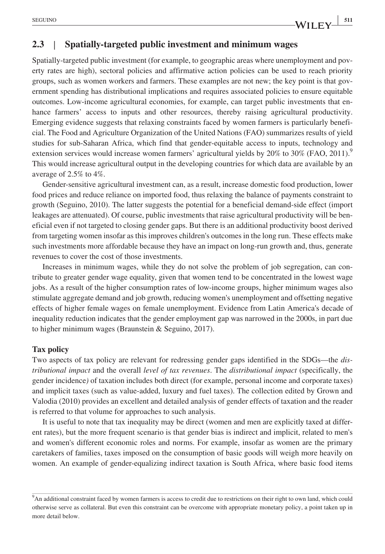## **2.3** | **Spatially-targeted public investment and minimum wages**

Spatially-targeted public investment (for example, to geographic areas where unemployment and poverty rates are high), sectoral policies and affirmative action policies can be used to reach priority groups, such as women workers and farmers. These examples are not new; the key point is that government spending has distributional implications and requires associated policies to ensure equitable outcomes. Low-income agricultural economies, for example, can target public investments that enhance farmers' access to inputs and other resources, thereby raising agricultural productivity. Emerging evidence suggests that relaxing constraints faced by women farmers is particularly beneficial. The Food and Agriculture Organization of the United Nations (FAO) summarizes results of yield studies for sub-Saharan Africa, which find that gender-equitable access to inputs, technology and extension services would increase women farmers' agricultural yields by 20% to 30% (FAO, 2011).<sup>9</sup> This would increase agricultural output in the developing countries for which data are available by an average of 2.5% to 4%.

Gender-sensitive agricultural investment can, as a result, increase domestic food production, lower food prices and reduce reliance on imported food, thus relaxing the balance of payments constraint to growth (Seguino, 2010). The latter suggests the potential for a beneficial demand-side effect (import leakages are attenuated). Of course, public investments that raise agricultural productivity will be beneficial even if not targeted to closing gender gaps. But there is an additional productivity boost derived from targeting women insofar as this improves children's outcomes in the long run. These effects make such investments more affordable because they have an impact on long-run growth and, thus, generate revenues to cover the cost of those investments.

Increases in minimum wages, while they do not solve the problem of job segregation, can contribute to greater gender wage equality, given that women tend to be concentrated in the lowest wage jobs. As a result of the higher consumption rates of low-income groups, higher minimum wages also stimulate aggregate demand and job growth, reducing women's unemployment and offsetting negative effects of higher female wages on female unemployment. Evidence from Latin America's decade of inequality reduction indicates that the gender employment gap was narrowed in the 2000s, in part due to higher minimum wages (Braunstein & Seguino, 2017).

#### **Tax policy**

Two aspects of tax policy are relevant for redressing gender gaps identified in the SDGs—the *distributional impact* and the overall *level of tax revenues*. The *distributional impact* (specifically, the gender incidence*)* of taxation includes both direct (for example, personal income and corporate taxes) and implicit taxes (such as value-added, luxury and fuel taxes). The collection edited by Grown and Valodia (2010) provides an excellent and detailed analysis of gender effects of taxation and the reader is referred to that volume for approaches to such analysis.

It is useful to note that tax inequality may be direct (women and men are explicitly taxed at different rates), but the more frequent scenario is that gender bias is indirect and implicit, related to men's and women's different economic roles and norms. For example, insofar as women are the primary caretakers of families, taxes imposed on the consumption of basic goods will weigh more heavily on women. An example of gender-equalizing indirect taxation is South Africa, where basic food items

<sup>9</sup> An additional constraint faced by women farmers is access to credit due to restrictions on their right to own land, which could otherwise serve as collateral. But even this constraint can be overcome with appropriate monetary policy, a point taken up in more detail below.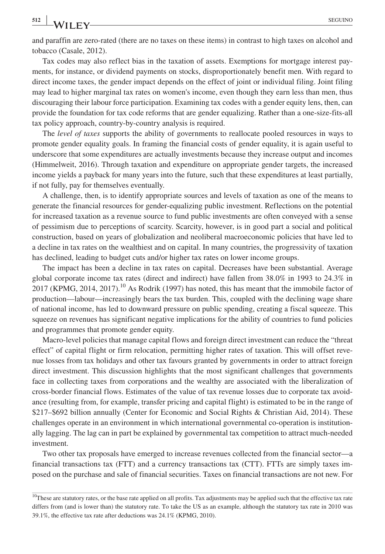**<sup>512</sup> <sup>|</sup>** SEGUINO

and paraffin are zero-rated (there are no taxes on these items) in contrast to high taxes on alcohol and tobacco (Casale, 2012).

Tax codes may also reflect bias in the taxation of assets. Exemptions for mortgage interest payments, for instance, or dividend payments on stocks, disproportionately benefit men. With regard to direct income taxes, the gender impact depends on the effect of joint or individual filing. Joint filing may lead to higher marginal tax rates on women's income, even though they earn less than men, thus discouraging their labour force participation. Examining tax codes with a gender equity lens, then, can provide the foundation for tax code reforms that are gender equalizing. Rather than a one-size-fits-all tax policy approach, country-by-country analysis is required.

The *level of taxes* supports the ability of governments to reallocate pooled resources in ways to promote gender equality goals. In framing the financial costs of gender equality, it is again useful to underscore that some expenditures are actually investments because they increase output and incomes (Himmelweit, 2016). Through taxation and expenditure on appropriate gender targets, the increased income yields a payback for many years into the future, such that these expenditures at least partially, if not fully, pay for themselves eventually.

A challenge, then, is to identify appropriate sources and levels of taxation as one of the means to generate the financial resources for gender-equalizing public investment. Reflections on the potential for increased taxation as a revenue source to fund public investments are often conveyed with a sense of pessimism due to perceptions of scarcity. Scarcity, however, is in good part a social and political construction, based on years of globalization and neoliberal macroeconomic policies that have led to a decline in tax rates on the wealthiest and on capital. In many countries, the progressivity of taxation has declined, leading to budget cuts and/or higher tax rates on lower income groups.

The impact has been a decline in tax rates on capital. Decreases have been substantial. Average global corporate income tax rates (direct and indirect) have fallen from 38.0% in 1993 to 24.3% in  $2017$  (KPMG,  $2014$ ,  $2017$ ).<sup>10</sup> As Rodrik (1997) has noted, this has meant that the immobile factor of production—labour—increasingly bears the tax burden. This, coupled with the declining wage share of national income, has led to downward pressure on public spending, creating a fiscal squeeze. This squeeze on revenues has significant negative implications for the ability of countries to fund policies and programmes that promote gender equity.

Macro-level policies that manage capital flows and foreign direct investment can reduce the "threat effect" of capital flight or firm relocation, permitting higher rates of taxation. This will offset revenue losses from tax holidays and other tax favours granted by governments in order to attract foreign direct investment. This discussion highlights that the most significant challenges that governments face in collecting taxes from corporations and the wealthy are associated with the liberalization of cross-border financial flows. Estimates of the value of tax revenue losses due to corporate tax avoidance (resulting from, for example, transfer pricing and capital flight) is estimated to be in the range of \$217–\$692 billion annually (Center for Economic and Social Rights & Christian Aid, 2014). These challenges operate in an environment in which international governmental co-operation is institutionally lagging. The lag can in part be explained by governmental tax competition to attract much-needed investment.

Two other tax proposals have emerged to increase revenues collected from the financial sector—a financial transactions tax (FTT) and a currency transactions tax (CTT). FTTs are simply taxes imposed on the purchase and sale of financial securities. Taxes on financial transactions are not new. For

<sup>&</sup>lt;sup>10</sup>These are statutory rates, or the base rate applied on all profits. Tax adjustments may be applied such that the effective tax rate differs from (and is lower than) the statutory rate. To take the US as an example, although the statutory tax rate in 2010 was 39.1%, the effective tax rate after deductions was 24.1% (KPMG, 2010).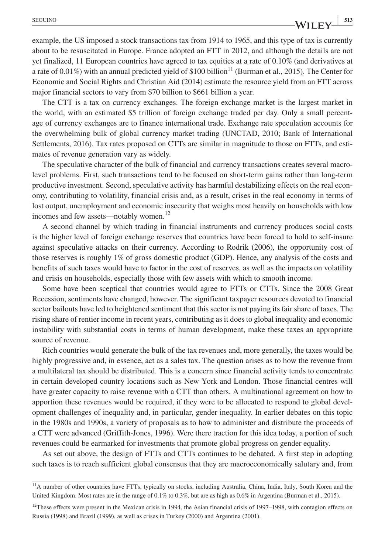**1.513 1.513 1.513 1.513 1.513 1.513 1.513 1.513 1.513 1.513 1.513 1.513 1.513 1.513 1.513 1.513 1.513 1.513 1.513 1.513 1.513 1.513 1.513 1.513 1.513 1.513 1.513 1.513** 

example, the US imposed a stock transactions tax from 1914 to 1965, and this type of tax is currently about to be resuscitated in Europe. France adopted an FTT in 2012, and although the details are not yet finalized, 11 European countries have agreed to tax equities at a rate of 0.10% (and derivatives at a rate of 0.01%) with an annual predicted yield of  $$100 billion<sup>11</sup>$  (Burman et al., 2015). The Center for Economic and Social Rights and Christian Aid (2014) estimate the resource yield from an FTT across major financial sectors to vary from \$70 billion to \$661 billion a year.

The CTT is a tax on currency exchanges. The foreign exchange market is the largest market in the world, with an estimated \$5 trillion of foreign exchange traded per day. Only a small percentage of currency exchanges are to finance international trade. Exchange rate speculation accounts for the overwhelming bulk of global currency market trading (UNCTAD, 2010; Bank of International Settlements, 2016). Tax rates proposed on CTTs are similar in magnitude to those on FTTs, and estimates of revenue generation vary as widely.

The speculative character of the bulk of financial and currency transactions creates several macrolevel problems. First, such transactions tend to be focused on short-term gains rather than long-term productive investment. Second, speculative activity has harmful destabilizing effects on the real economy, contributing to volatility, financial crisis and, as a result, crises in the real economy in terms of lost output, unemployment and economic insecurity that weighs most heavily on households with low incomes and few assets—notably women.<sup>12</sup>

A second channel by which trading in financial instruments and currency produces social costs is the higher level of foreign exchange reserves that countries have been forced to hold to self-insure against speculative attacks on their currency. According to Rodrik (2006), the opportunity cost of those reserves is roughly 1% of gross domestic product (GDP). Hence, any analysis of the costs and benefits of such taxes would have to factor in the cost of reserves, as well as the impacts on volatility and crisis on households, especially those with few assets with which to smooth income.

Some have been sceptical that countries would agree to FTTs or CTTs. Since the 2008 Great Recession, sentiments have changed, however. The significant taxpayer resources devoted to financial sector bailouts have led to heightened sentiment that this sector is not paying its fair share of taxes. The rising share of rentier income in recent years, contributing as it does to global inequality and economic instability with substantial costs in terms of human development, make these taxes an appropriate source of revenue.

Rich countries would generate the bulk of the tax revenues and, more generally, the taxes would be highly progressive and, in essence, act as a sales tax. The question arises as to how the revenue from a multilateral tax should be distributed. This is a concern since financial activity tends to concentrate in certain developed country locations such as New York and London. Those financial centres will have greater capacity to raise revenue with a CTT than others. A multinational agreement on how to apportion these revenues would be required, if they were to be allocated to respond to global development challenges of inequality and, in particular, gender inequality. In earlier debates on this topic in the 1980s and 1990s, a variety of proposals as to how to administer and distribute the proceeds of a CTT were advanced (Griffith-Jones, 1996). Were there traction for this idea today, a portion of such revenues could be earmarked for investments that promote global progress on gender equality.

As set out above, the design of FTTs and CTTs continues to be debated. A first step in adopting such taxes is to reach sufficient global consensus that they are macroeconomically salutary and, from

<sup>&</sup>lt;sup>11</sup>A number of other countries have FTTs, typically on stocks, including Australia, China, India, Italy, South Korea and the United Kingdom. Most rates are in the range of 0.1% to 0.3%, but are as high as 0.6% in Argentina (Burman et al., 2015).

 $12$ These effects were present in the Mexican crisis in 1994, the Asian financial crisis of 1997–1998, with contagion effects on Russia (1998) and Brazil (1999), as well as crises in Turkey (2000) and Argentina (2001).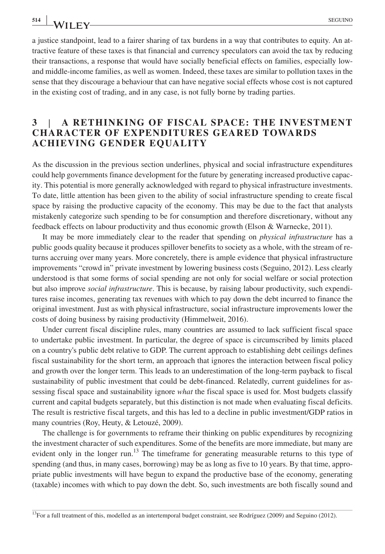a justice standpoint, lead to a fairer sharing of tax burdens in a way that contributes to equity. An attractive feature of these taxes is that financial and currency speculators can avoid the tax by reducing their transactions, a response that would have socially beneficial effects on families, especially lowand middle-income families, as well as women. Indeed, these taxes are similar to pollution taxes in the sense that they discourage a behaviour that can have negative social effects whose cost is not captured in the existing cost of trading, and in any case, is not fully borne by trading parties.

## **3** | **A RETHINKING OF FISCAL SPACE: THE INVESTMENT CHARACTER OF EXPENDITURES GEARED TOWARDS ACHIEVING GENDER EQUALITY**

As the discussion in the previous section underlines, physical and social infrastructure expenditures could help governments finance development for the future by generating increased productive capacity. This potential is more generally acknowledged with regard to physical infrastructure investments. To date, little attention has been given to the ability of social infrastructure spending to create fiscal space by raising the productive capacity of the economy. This may be due to the fact that analysts mistakenly categorize such spending to be for consumption and therefore discretionary, without any feedback effects on labour productivity and thus economic growth (Elson & Warnecke, 2011).

It may be more immediately clear to the reader that spending on *physical infrastructure* has a public goods quality because it produces spillover benefits to society as a whole, with the stream of returns accruing over many years. More concretely, there is ample evidence that physical infrastructure improvements "crowd in" private investment by lowering business costs (Seguino, 2012). Less clearly understood is that some forms of social spending are not only for social welfare or social protection but also improve *social infrastructure*. This is because, by raising labour productivity, such expenditures raise incomes, generating tax revenues with which to pay down the debt incurred to finance the original investment. Just as with physical infrastructure, social infrastructure improvements lower the costs of doing business by raising productivity (Himmelweit, 2016).

Under current fiscal discipline rules, many countries are assumed to lack sufficient fiscal space to undertake public investment. In particular, the degree of space is circumscribed by limits placed on a country's public debt relative to GDP. The current approach to establishing debt ceilings defines fiscal sustainability for the short term, an approach that ignores the interaction between fiscal policy and growth over the longer term. This leads to an underestimation of the long-term payback to fiscal sustainability of public investment that could be debt-financed. Relatedly, current guidelines for assessing fiscal space and sustainability ignore *what* the fiscal space is used for. Most budgets classify current and capital budgets separately, but this distinction is not made when evaluating fiscal deficits. The result is restrictive fiscal targets, and this has led to a decline in public investment/GDP ratios in many countries (Roy, Heuty, & Letouzé, 2009).

The challenge is for governments to reframe their thinking on public expenditures by recognizing the investment character of such expenditures. Some of the benefits are more immediate, but many are evident only in the longer run.<sup>13</sup> The timeframe for generating measurable returns to this type of spending (and thus, in many cases, borrowing) may be as long as five to 10 years. By that time, appropriate public investments will have begun to expand the productive base of the economy, generating (taxable) incomes with which to pay down the debt. So, such investments are both fiscally sound and

 $13$ For a full treatment of this, modelled as an intertemporal budget constraint, see Rodríguez (2009) and Seguino (2012).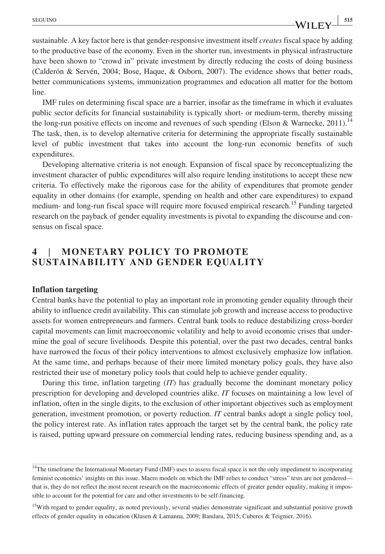**1.515 1.515 1.515 1.515 1.515 1.515 1.515 1.515 1.515 1.515 1.515 1.515 1.515 1.515 1.515 1.515 1.515 1.515 1.515 1.515 1.515 1.515 1.515 1.515 1.515 1.515 1.515 1.515** sustainable. A key factor here is that gender-responsive investment itself *creates* fiscal space by adding

to the productive base of the economy. Even in the shorter run, investments in physical infrastructure have been shown to "crowd in" private investment by directly reducing the costs of doing business (Calderón & Servén, 2004; Bose, Haque, & Osborn, 2007). The evidence shows that better roads, better communications systems, immunization programmes and education all matter for the bottom line.

IMF rules on determining fiscal space are a barrier, insofar as the timeframe in which it evaluates public sector deficits for financial sustainability is typically short- or medium-term, thereby missing the long-run positive effects on income and revenues of such spending (Elson & Warnecke, 2011).<sup>14</sup> The task, then, is to develop alternative criteria for determining the appropriate fiscally sustainable level of public investment that takes into account the long-run economic benefits of such expenditures.

Developing alternative criteria is not enough. Expansion of fiscal space by reconceptualizing the investment character of public expenditures will also require lending institutions to accept these new criteria. To effectively make the rigorous case for the ability of expenditures that promote gender equality in other domains (for example, spending on health and other care expenditures) to expand medium- and long-run fiscal space will require more focused empirical research.<sup>15</sup> Funding targeted research on the payback of gender equality investments is pivotal to expanding the discourse and consensus on fiscal space.

## **4** | **MONETARY POLICY TO PROMOTE SUSTAINABILITY AND GENDER EQUALITY**

## **Inflation targeting**

Central banks have the potential to play an important role in promoting gender equality through their ability to influence credit availability. This can stimulate job growth and increase access to productive assets for women entrepreneurs and farmers. Central bank tools to reduce destabilizing cross-border capital movements can limit macroeconomic volatility and help to avoid economic crises that undermine the goal of secure livelihoods. Despite this potential, over the past two decades, central banks have narrowed the focus of their policy interventions to almost exclusively emphasize low inflation. At the same time, and perhaps because of their more limited monetary policy goals, they have also restricted their use of monetary policy tools that could help to achieve gender equality.

During this time, inflation targeting (*IT*) has gradually become the dominant monetary policy prescription for developing and developed countries alike. *IT* focuses on maintaining a low level of inflation, often in the single digits, to the exclusion of other important objectives such as employment generation, investment promotion, or poverty reduction. *IT* central banks adopt a single policy tool, the policy interest rate. As inflation rates approach the target set by the central bank, the policy rate is raised, putting upward pressure on commercial lending rates, reducing business spending and, as a

<sup>&</sup>lt;sup>14</sup>The timeframe the International Monetary Fund (IMF) uses to assess fiscal space is not the only impediment to incorporating feminist economics' insights on this issue. Macro models on which the IMF relies to conduct "stress" tests are not gendered that is, they do not reflect the most recent research on the macroeconomic effects of greater gender equality, making it impossible to account for the potential for care and other investments to be self-financing.

<sup>&</sup>lt;sup>15</sup>With regard to gender equality, as noted previously, several studies demonstrate significant and substantial positive growth effects of gender equality in education (Klasen & Lamanna, 2009; Bandara, 2015; Cuberes & Teignier, 2016).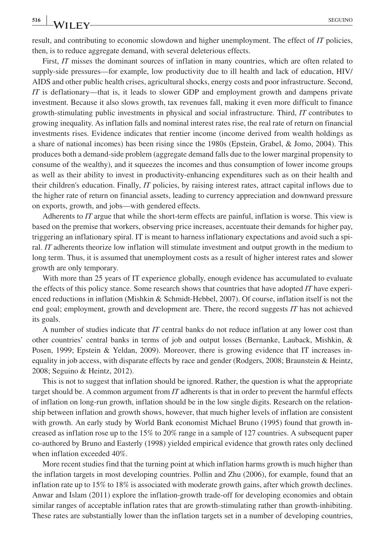result, and contributing to economic slowdown and higher unemployment. The effect of *IT* policies, then, is to reduce aggregate demand, with several deleterious effects.

First, *IT* misses the dominant sources of inflation in many countries, which are often related to supply-side pressures—for example, low productivity due to ill health and lack of education, HIV/ AIDS and other public health crises, agricultural shocks, energy costs and poor infrastructure. Second, *IT* is deflationary—that is, it leads to slower GDP and employment growth and dampens private investment. Because it also slows growth, tax revenues fall, making it even more difficult to finance growth-stimulating public investments in physical and social infrastructure. Third, *IT* contributes to growing inequality. As inflation falls and nominal interest rates rise, the real rate of return on financial investments rises. Evidence indicates that rentier income (income derived from wealth holdings as a share of national incomes) has been rising since the 1980s (Epstein, Grabel, & Jomo, 2004). This produces both a demand-side problem (aggregate demand falls due to the lower marginal propensity to consume of the wealthy), and it squeezes the incomes and thus consumption of lower income groups as well as their ability to invest in productivity-enhancing expenditures such as on their health and their children's education. Finally, *IT* policies, by raising interest rates, attract capital inflows due to the higher rate of return on financial assets, leading to currency appreciation and downward pressure on exports, growth, and jobs—with gendered effects.

Adherents to *IT* argue that while the short-term effects are painful, inflation is worse. This view is based on the premise that workers, observing price increases, accentuate their demands for higher pay, triggering an inflationary spiral. IT is meant to harness inflationary expectations and avoid such a spiral. *IT* adherents theorize low inflation will stimulate investment and output growth in the medium to long term. Thus, it is assumed that unemployment costs as a result of higher interest rates and slower growth are only temporary.

With more than 25 years of IT experience globally, enough evidence has accumulated to evaluate the effects of this policy stance. Some research shows that countries that have adopted *IT* have experienced reductions in inflation (Mishkin & Schmidt-Hebbel, 2007). Of course, inflation itself is not the end goal; employment, growth and development are. There, the record suggests *IT* has not achieved its goals.

A number of studies indicate that *IT* central banks do not reduce inflation at any lower cost than other countries' central banks in terms of job and output losses (Bernanke, Lauback, Mishkin, & Posen, 1999; Epstein & Yeldan, 2009). Moreover, there is growing evidence that IT increases inequality in job access, with disparate effects by race and gender (Rodgers, 2008; Braunstein & Heintz, 2008; Seguino & Heintz, 2012).

This is not to suggest that inflation should be ignored. Rather, the question is what the appropriate target should be. A common argument from *IT* adherents is that in order to prevent the harmful effects of inflation on long-run growth, inflation should be in the low single digits. Research on the relationship between inflation and growth shows, however, that much higher levels of inflation are consistent with growth. An early study by World Bank economist Michael Bruno (1995) found that growth increased as inflation rose up to the 15% to 20% range in a sample of 127 countries. A subsequent paper co-authored by Bruno and Easterly (1998) yielded empirical evidence that growth rates only declined when inflation exceeded 40%.

More recent studies find that the turning point at which inflation harms growth is much higher than the inflation targets in most developing countries. Pollin and Zhu (2006), for example, found that an inflation rate up to 15% to 18% is associated with moderate growth gains, after which growth declines. Anwar and Islam (2011) explore the inflation-growth trade-off for developing economies and obtain similar ranges of acceptable inflation rates that are growth-stimulating rather than growth-inhibiting. These rates are substantially lower than the inflation targets set in a number of developing countries,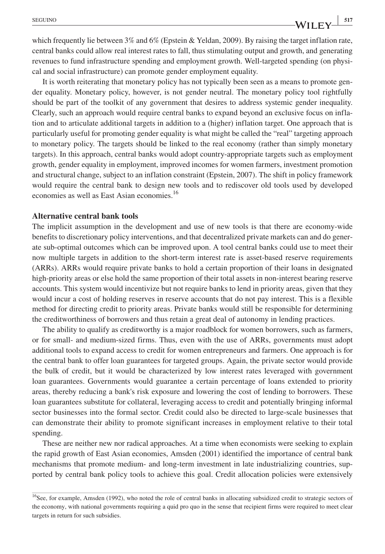which frequently lie between 3% and 6% (Epstein & Yeldan, 2009). By raising the target inflation rate, central banks could allow real interest rates to fall, thus stimulating output and growth, and generating revenues to fund infrastructure spending and employment growth. Well-targeted spending (on physical and social infrastructure) can promote gender employment equality.

It is worth reiterating that monetary policy has not typically been seen as a means to promote gender equality. Monetary policy, however, is not gender neutral. The monetary policy tool rightfully should be part of the toolkit of any government that desires to address systemic gender inequality. Clearly, such an approach would require central banks to expand beyond an exclusive focus on inflation and to articulate additional targets in addition to a (higher) inflation target. One approach that is particularly useful for promoting gender equality is what might be called the "real" targeting approach to monetary policy. The targets should be linked to the real economy (rather than simply monetary targets). In this approach, central banks would adopt country-appropriate targets such as employment growth, gender equality in employment, improved incomes for women farmers, investment promotion and structural change, subject to an inflation constraint (Epstein, 2007). The shift in policy framework would require the central bank to design new tools and to rediscover old tools used by developed economies as well as East Asian economies.<sup>16</sup>

#### **Alternative central bank tools**

The implicit assumption in the development and use of new tools is that there are economy-wide benefits to discretionary policy interventions, and that decentralized private markets can and do generate sub-optimal outcomes which can be improved upon. A tool central banks could use to meet their now multiple targets in addition to the short-term interest rate is asset-based reserve requirements (ARRs). ARRs would require private banks to hold a certain proportion of their loans in designated high-priority areas or else hold the same proportion of their total assets in non-interest bearing reserve accounts. This system would incentivize but not require banks to lend in priority areas, given that they would incur a cost of holding reserves in reserve accounts that do not pay interest. This is a flexible method for directing credit to priority areas. Private banks would still be responsible for determining the creditworthiness of borrowers and thus retain a great deal of autonomy in lending practices.

The ability to qualify as creditworthy is a major roadblock for women borrowers, such as farmers, or for small- and medium-sized firms. Thus, even with the use of ARRs, governments must adopt additional tools to expand access to credit for women entrepreneurs and farmers. One approach is for the central bank to offer loan guarantees for targeted groups. Again, the private sector would provide the bulk of credit, but it would be characterized by low interest rates leveraged with government loan guarantees. Governments would guarantee a certain percentage of loans extended to priority areas, thereby reducing a bank's risk exposure and lowering the cost of lending to borrowers. These loan guarantees substitute for collateral, leveraging access to credit and potentially bringing informal sector businesses into the formal sector. Credit could also be directed to large-scale businesses that can demonstrate their ability to promote significant increases in employment relative to their total spending.

These are neither new nor radical approaches. At a time when economists were seeking to explain the rapid growth of East Asian economies, Amsden (2001) identified the importance of central bank mechanisms that promote medium- and long-term investment in late industrializing countries, supported by central bank policy tools to achieve this goal. Credit allocation policies were extensively

<sup>&</sup>lt;sup>16</sup>See, for example, Amsden (1992), who noted the role of central banks in allocating subsidized credit to strategic sectors of the economy, with national governments requiring a quid pro quo in the sense that recipient firms were required to meet clear targets in return for such subsidies.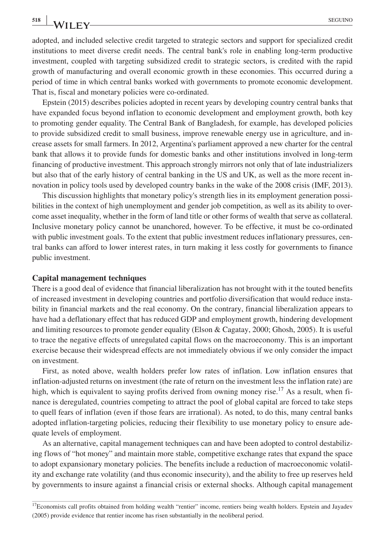adopted, and included selective credit targeted to strategic sectors and support for specialized credit institutions to meet diverse credit needs. The central bank's role in enabling long-term productive investment, coupled with targeting subsidized credit to strategic sectors, is credited with the rapid growth of manufacturing and overall economic growth in these economies. This occurred during a period of time in which central banks worked with governments to promote economic development. That is, fiscal and monetary policies were co-ordinated.

Epstein (2015) describes policies adopted in recent years by developing country central banks that have expanded focus beyond inflation to economic development and employment growth, both key to promoting gender equality. The Central Bank of Bangladesh, for example, has developed policies to provide subsidized credit to small business, improve renewable energy use in agriculture, and increase assets for small farmers. In 2012, Argentina's parliament approved a new charter for the central bank that allows it to provide funds for domestic banks and other institutions involved in long-term financing of productive investment. This approach strongly mirrors not only that of late industrializers but also that of the early history of central banking in the US and UK, as well as the more recent innovation in policy tools used by developed country banks in the wake of the 2008 crisis (IMF, 2013).

This discussion highlights that monetary policy's strength lies in its employment generation possibilities in the context of high unemployment and gender job competition, as well as its ability to overcome asset inequality, whether in the form of land title or other forms of wealth that serve as collateral. Inclusive monetary policy cannot be unanchored, however. To be effective, it must be co-ordinated with public investment goals. To the extent that public investment reduces inflationary pressures, central banks can afford to lower interest rates, in turn making it less costly for governments to finance public investment.

#### **Capital management techniques**

There is a good deal of evidence that financial liberalization has not brought with it the touted benefits of increased investment in developing countries and portfolio diversification that would reduce instability in financial markets and the real economy. On the contrary, financial liberalization appears to have had a deflationary effect that has reduced GDP and employment growth, hindering development and limiting resources to promote gender equality (Elson & Cagatay, 2000; Ghosh, 2005). It is useful to trace the negative effects of unregulated capital flows on the macroeconomy. This is an important exercise because their widespread effects are not immediately obvious if we only consider the impact on investment.

First, as noted above, wealth holders prefer low rates of inflation. Low inflation ensures that inflation-adjusted returns on investment (the rate of return on the investment less the inflation rate) are high, which is equivalent to saying profits derived from owning money rise.<sup>17</sup> As a result, when finance is deregulated, countries competing to attract the pool of global capital are forced to take steps to quell fears of inflation (even if those fears are irrational). As noted, to do this, many central banks adopted inflation-targeting policies, reducing their flexibility to use monetary policy to ensure adequate levels of employment.

As an alternative, capital management techniques can and have been adopted to control destabilizing flows of "hot money" and maintain more stable, competitive exchange rates that expand the space to adopt expansionary monetary policies. The benefits include a reduction of macroeconomic volatility and exchange rate volatility (and thus economic insecurity), and the ability to free up reserves held by governments to insure against a financial crisis or external shocks. Although capital management

<sup>17</sup>Economists call profits obtained from holding wealth "rentier" income, rentiers being wealth holders. Epstein and Jayadev (2005) provide evidence that rentier income has risen substantially in the neoliberal period.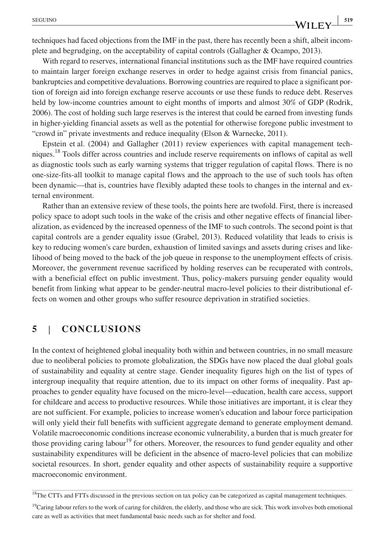techniques had faced objections from the IMF in the past, there has recently been a shift, albeit incomplete and begrudging, on the acceptability of capital controls (Gallagher & Ocampo, 2013).

With regard to reserves, international financial institutions such as the IMF have required countries to maintain larger foreign exchange reserves in order to hedge against crisis from financial panics, bankruptcies and competitive devaluations. Borrowing countries are required to place a significant portion of foreign aid into foreign exchange reserve accounts or use these funds to reduce debt. Reserves held by low-income countries amount to eight months of imports and almost 30% of GDP (Rodrik, 2006). The cost of holding such large reserves is the interest that could be earned from investing funds in higher-yielding financial assets as well as the potential for otherwise foregone public investment to "crowd in" private investments and reduce inequality (Elson & Warnecke, 2011).

Epstein et al. (2004) and Gallagher (2011) review experiences with capital management techniques.18 Tools differ across countries and include reserve requirements on inflows of capital as well as diagnostic tools such as early warning systems that trigger regulation of capital flows. There is no one-size-fits-all toolkit to manage capital flows and the approach to the use of such tools has often been dynamic—that is, countries have flexibly adapted these tools to changes in the internal and external environment.

Rather than an extensive review of these tools, the points here are twofold. First, there is increased policy space to adopt such tools in the wake of the crisis and other negative effects of financial liberalization, as evidenced by the increased openness of the IMF to such controls. The second point is that capital controls are a gender equality issue (Grabel, 2013). Reduced volatility that leads to crisis is key to reducing women's care burden, exhaustion of limited savings and assets during crises and likelihood of being moved to the back of the job queue in response to the unemployment effects of crisis. Moreover, the government revenue sacrificed by holding reserves can be recuperated with controls, with a beneficial effect on public investment. Thus, policy-makers pursuing gender equality would benefit from linking what appear to be gender-neutral macro-level policies to their distributional effects on women and other groups who suffer resource deprivation in stratified societies.

## **5** | **CONCLUSIONS**

In the context of heightened global inequality both within and between countries, in no small measure due to neoliberal policies to promote globalization, the SDGs have now placed the dual global goals of sustainability and equality at centre stage. Gender inequality figures high on the list of types of intergroup inequality that require attention, due to its impact on other forms of inequality. Past approaches to gender equality have focused on the micro-level—education, health care access, support for childcare and access to productive resources. While those initiatives are important, it is clear they are not sufficient. For example, policies to increase women's education and labour force participation will only yield their full benefits with sufficient aggregate demand to generate employment demand. Volatile macroeconomic conditions increase economic vulnerability, a burden that is much greater for those providing caring labour<sup>19</sup> for others. Moreover, the resources to fund gender equality and other sustainability expenditures will be deficient in the absence of macro-level policies that can mobilize societal resources. In short, gender equality and other aspects of sustainability require a supportive macroeconomic environment.

<sup>&</sup>lt;sup>18</sup>The CTTs and FTTs discussed in the previous section on tax policy can be categorized as capital management techniques.

<sup>&</sup>lt;sup>19</sup>Caring labour refers to the work of caring for children, the elderly, and those who are sick. This work involves both emotional care as well as activities that meet fundamental basic needs such as for shelter and food.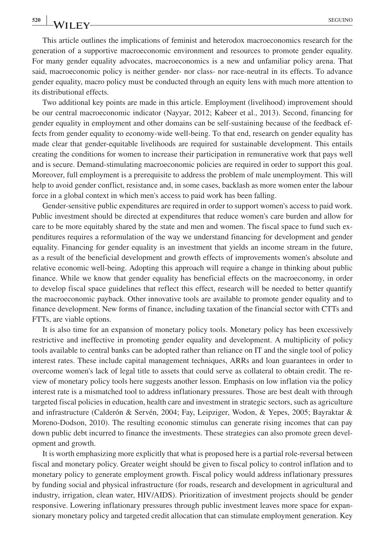This article outlines the implications of feminist and heterodox macroeconomics research for the generation of a supportive macroeconomic environment and resources to promote gender equality. For many gender equality advocates, macroeconomics is a new and unfamiliar policy arena. That said, macroeconomic policy is neither gender- nor class- nor race-neutral in its effects. To advance gender equality, macro policy must be conducted through an equity lens with much more attention to its distributional effects.

Two additional key points are made in this article. Employment (livelihood) improvement should be our central macroeconomic indicator (Nayyar, 2012; Kabeer et al., 2013). Second, financing for gender equality in employment and other domains can be self-sustaining because of the feedback effects from gender equality to economy-wide well-being. To that end, research on gender equality has made clear that gender-equitable livelihoods are required for sustainable development. This entails creating the conditions for women to increase their participation in remunerative work that pays well and is secure. Demand-stimulating macroeconomic policies are required in order to support this goal. Moreover, full employment is a prerequisite to address the problem of male unemployment. This will help to avoid gender conflict, resistance and, in some cases, backlash as more women enter the labour force in a global context in which men's access to paid work has been falling.

Gender-sensitive public expenditures are required in order to support women's access to paid work. Public investment should be directed at expenditures that reduce women's care burden and allow for care to be more equitably shared by the state and men and women. The fiscal space to fund such expenditures requires a reformulation of the way we understand financing for development and gender equality. Financing for gender equality is an investment that yields an income stream in the future, as a result of the beneficial development and growth effects of improvements women's absolute and relative economic well-being. Adopting this approach will require a change in thinking about public finance. While we know that gender equality has beneficial effects on the macroeconomy, in order to develop fiscal space guidelines that reflect this effect, research will be needed to better quantify the macroeconomic payback. Other innovative tools are available to promote gender equality and to finance development. New forms of finance, including taxation of the financial sector with CTTs and FTTs, are viable options.

It is also time for an expansion of monetary policy tools. Monetary policy has been excessively restrictive and ineffective in promoting gender equality and development. A multiplicity of policy tools available to central banks can be adopted rather than reliance on IT and the single tool of policy interest rates. These include capital management techniques, ARRs and loan guarantees in order to overcome women's lack of legal title to assets that could serve as collateral to obtain credit. The review of monetary policy tools here suggests another lesson. Emphasis on low inflation via the policy interest rate is a mismatched tool to address inflationary pressures. Those are best dealt with through targeted fiscal policies in education, health care and investment in strategic sectors, such as agriculture and infrastructure (Calderón & Servén, 2004; Fay, Leipziger, Wodon, & Yepes, 2005; Bayraktar & Moreno-Dodson, 2010). The resulting economic stimulus can generate rising incomes that can pay down public debt incurred to finance the investments. These strategies can also promote green development and growth.

It is worth emphasizing more explicitly that what is proposed here is a partial role-reversal between fiscal and monetary policy. Greater weight should be given to fiscal policy to control inflation and to monetary policy to generate employment growth. Fiscal policy would address inflationary pressures by funding social and physical infrastructure (for roads, research and development in agricultural and industry, irrigation, clean water, HIV/AIDS). Prioritization of investment projects should be gender responsive. Lowering inflationary pressures through public investment leaves more space for expansionary monetary policy and targeted credit allocation that can stimulate employment generation. Key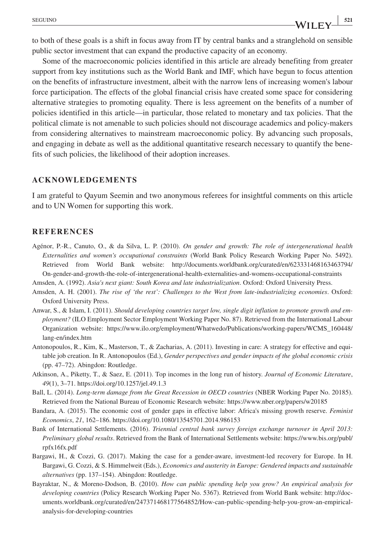to both of these goals is a shift in focus away from IT by central banks and a stranglehold on sensible public sector investment that can expand the productive capacity of an economy.

Some of the macroeconomic policies identified in this article are already benefiting from greater support from key institutions such as the World Bank and IMF, which have begun to focus attention on the benefits of infrastructure investment, albeit with the narrow lens of increasing women's labour force participation. The effects of the global financial crisis have created some space for considering alternative strategies to promoting equality. There is less agreement on the benefits of a number of policies identified in this article—in particular, those related to monetary and tax policies. That the political climate is not amenable to such policies should not discourage academics and policy-makers from considering alternatives to mainstream macroeconomic policy. By advancing such proposals, and engaging in debate as well as the additional quantitative research necessary to quantify the benefits of such policies, the likelihood of their adoption increases.

#### **ACKNOWLEDGEMENTS**

I am grateful to Qayum Seemin and two anonymous referees for insightful comments on this article and to UN Women for supporting this work.

### **REFERENCES**

- Agénor, P.-R., Canuto, O., & da Silva, L. P. (2010). *On gender and growth: The role of intergenerational health Externalities and women's occupational constraints* (World Bank Policy Research Working Paper No. 5492). Retrieved from World Bank website: [http://documents.worldbank.org/curated/en/623331468163463794/](http://documents.worldbank.org/curated/en/623331468163463794/On-gender-and-growth-the-role-of-intergenerational-health-externalities-and-womens-occupational-constraints) [On-gender-and-growth-the-role-of-intergenerational-health-externalities-and-womens-occupational-constraints](http://documents.worldbank.org/curated/en/623331468163463794/On-gender-and-growth-the-role-of-intergenerational-health-externalities-and-womens-occupational-constraints)
- Amsden, A. (1992). *Asia's next giant: South Korea and late industrialization*. Oxford: Oxford University Press.
- Amsden, A. H. (2001). *The rise of 'the rest': Challenges to the West from late-industrializing economies*. Oxford: Oxford University Press.
- Anwar, S., & Islam, I. (2011). *Should developing countries target low, single digit inflation to promote growth and employment?* (ILO Employment Sector Employment Working Paper No. 87). Retrieved from the International Labour Organization website: [https://www.ilo.org/employment/Whatwedo/Publications/working-papers/WCMS\\_160448/](https://www.ilo.org/employment/Whatwedo/Publications/working-papers/WCMS_160448/lang%e2%80%93en/index.htm) [lang-en/index.htm](https://www.ilo.org/employment/Whatwedo/Publications/working-papers/WCMS_160448/lang%e2%80%93en/index.htm)
- Antonopoulos, R., Kim, K., Masterson, T., & Zacharias, A. (2011). Investing in care: A strategy for effective and equitable job creation. In R. Antonopoulos (Ed.), *Gender perspectives and gender impacts of the global economic crisis* (pp. 47–72). Abingdon: Routledge.
- Atkinson, A., Piketty, T., & Saez, E. (2011). Top incomes in the long run of history. *Journal of Economic Literature*, *49*(1), 3–71.<https://doi.org/10.1257/jel.49.1.3>
- Ball, L. (2014). *Long-term damage from the Great Recession in OECD countries* (NBER Working Paper No. 20185). Retrieved from the National Bureau of Economic Research website:<https://www.nber.org/papers/w20185>
- Bandara, A. (2015). The economic cost of gender gaps in effective labor: Africa's missing growth reserve. *Feminist Economics*, *21*, 162–186. <https://doi.org/10.1080/13545701.2014.986153>
- Bank of International Settlements. (2016). *Triennial central bank survey foreign exchange turnover in April 2013: Preliminary global results*. Retrieved from the Bank of International Settlements website: [https://www.bis.org/publ/](https://www.bis.org/publ/rpfx16fx.pdf) [rpfx16fx.pdf](https://www.bis.org/publ/rpfx16fx.pdf)
- Bargawi, H., & Cozzi, G. (2017). Making the case for a gender-aware, investment-led recovery for Europe. In H. Bargawi, G. Cozzi, & S. Himmelweit (Eds.), *Economics and austerity in Europe: Gendered impacts and sustainable alternatives* (pp. 137–154). Abingdon: Routledge.
- Bayraktar, N., & Moreno-Dodson, B. (2010). *How can public spending help you grow? An empirical analysis for developing countries* (Policy Research Working Paper No. 5367). Retrieved from World Bank website: [http://doc](http://documents.worldbank.org/curated/en/247371468177564852/How-can-public-spending-help-you-grow-an-empirical-analysis-for-developing-countries)[uments.worldbank.org/curated/en/247371468177564852/How-can-public-spending-help-you-grow-an-empirical](http://documents.worldbank.org/curated/en/247371468177564852/How-can-public-spending-help-you-grow-an-empirical-analysis-for-developing-countries)[analysis-for-developing-countries](http://documents.worldbank.org/curated/en/247371468177564852/How-can-public-spending-help-you-grow-an-empirical-analysis-for-developing-countries)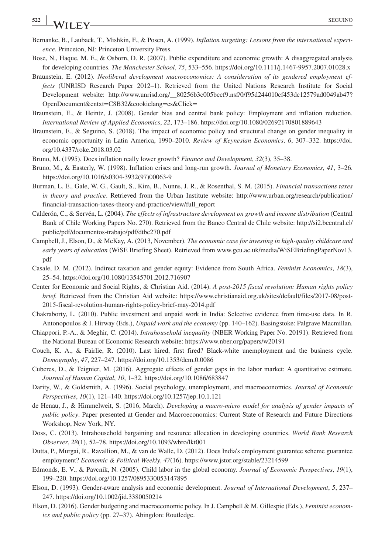## **522 WILEY WE**

- Bernanke, B., Lauback, T., Mishkin, F., & Posen, A. (1999). *Inflation targeting: Lessons from the international experience*. Princeton, NJ: Princeton University Press.
- Bose, N., Haque, M. E., & Osborn, D. R. (2007). Public expenditure and economic growth: A disaggregated analysis for developing countries. *The Manchester School*, *75*, 533–556.<https://doi.org/10.1111/j.1467-9957.2007.01028.x>
- Braunstein, E. (2012). *Neoliberal development macroeconomics: A consideration of its gendered employment effects* (UNRISD Research Paper 2012–1). Retrieved from the United Nations Research Institute for Social Development website: [http://www.unrisd.org/\\_\\_80256b3c005bccf9.nsf/0/f95d244010cf453dc12579ad0049ab47?](http://www.unrisd.org/__80256b3c005bccf9.nsf/0/f95d244010cf453dc12579ad0049ab47?OpenDocument&cntxt=C8B32&cookielang=es&Click) [OpenDocument&cntxt=C8B32&cookielang=es&Click=](http://www.unrisd.org/__80256b3c005bccf9.nsf/0/f95d244010cf453dc12579ad0049ab47?OpenDocument&cntxt=C8B32&cookielang=es&Click)
- Braunstein, E., & Heintz, J. (2008). Gender bias and central bank policy: Employment and inflation reduction. *International Review of Applied Economics*, *22*, 173–186. <https://doi.org/10.1080/02692170801889643>
- Braunstein, E., & Seguino, S. (2018). The impact of economic policy and structural change on gender inequality in economic opportunity in Latin America, 1990–2010. *Review of Keynesian Economics*, *6*, 307–332. [https://doi.](https://doi.org/10.4337/roke.2018.03.02) [org/10.4337/roke.2018.03.02](https://doi.org/10.4337/roke.2018.03.02)
- Bruno, M. (1995). Does inflation really lower growth? *Finance and Development*, *32*(3), 35–38.
- Bruno, M., & Easterly, W. (1998). Inflation crises and long-run growth. *Journal of Monetary Economics*, *41*, 3–26. [https://doi.org/10.1016/s0304-3932\(97\)00063-9](https://doi.org/10.1016/s0304-3932(97)00063-9)
- Burman, L. E., Gale, W. G., Gault, S., Kim, B., Nunns, J. R., & Rosenthal, S. M. (2015). *Financial transactions taxes in theory and practice*. Retrieved from the Urban Institute website: [http://www.urban.org/research/publication/](http://www.urban.org/research/publication/financial-transaction-taxes-theory-and-practice/view/full_report) [financial-transaction-taxes-theory-and-practice/view/full\\_report](http://www.urban.org/research/publication/financial-transaction-taxes-theory-and-practice/view/full_report)
- Calderón, C., & Servén, L. (2004). *The effects of infrastructure development on growth and income distribution* (Central Bank of Chile Working Papers No. 270). Retrieved from the Banco Central de Chile website: [http://si2.bcentral.cl/](http://si2.bcentral.cl/public/pdf/documentos-trabajo/pdf/dtbc270.pdf) [public/pdf/documentos-trabajo/pdf/dtbc270.pdf](http://si2.bcentral.cl/public/pdf/documentos-trabajo/pdf/dtbc270.pdf)
- Campbell, J., Elson, D., & McKay, A. (2013, November). *The economic case for investing in high-quality childcare and early years of education* (WiSE Briefing Sheet). Retrieved from [www.gcu.ac.uk/media/WiSEBriefingPaperNov13.](http://www.gcu.ac.uk/media/WiSEBriefingPaperNov13.pdf) [pdf](http://www.gcu.ac.uk/media/WiSEBriefingPaperNov13.pdf)
- Casale, D. M. (2012). Indirect taxation and gender equity: Evidence from South Africa. *Feminist Economics*, *18*(3), 25–54.<https://doi.org/10.1080/13545701.2012.716907>
- Center for Economic and Social Rights, & Christian Aid. (2014). *A post-2015 fiscal revolution: Human rights policy brief.* Retrieved from the Christian Aid website: [https://www.christianaid.org.uk/sites/default/files/2017-08/post-](https://www.christianaid.org.uk/sites/default/files/2017-08/post-2015-fiscal-revolution-human-rights-policy-brief-may-2014.pdf)[2015-fiscal-revolution-human-rights-policy-brief-may-2014.pdf](https://www.christianaid.org.uk/sites/default/files/2017-08/post-2015-fiscal-revolution-human-rights-policy-brief-may-2014.pdf)
- Chakraborty, L. (2010). Public investment and unpaid work in India: Selective evidence from time-use data. In R. Antonopoulos & I. Hirway (Eds.), *Unpaid work and the economy* (pp. 140–162). Basingstoke: Palgrave Macmillan.
- Chiappori, P.-A., & Meghir, C. (2014). *Intrahousehold inequality* (NBER Working Paper No. 20191). Retrieved from the National Bureau of Economic Research website:<https://www.nber.org/papers/w20191>
- Couch, K. A., & Fairlie, R. (2010). Last hired, first fired? Black-white unemployment and the business cycle. *Demography*, *47*, 227–247. <https://doi.org/10.1353/dem.0.0086>
- Cuberes, D., & Teignier, M. (2016). Aggregate effects of gender gaps in the labor market: A quantitative estimate. *Journal of Human Capital*, *10*, 1–32. <https://doi.org/10.1086/683847>
- Darity, W., & Goldsmith, A. (1996). Social psychology, unemployment, and macroeconomics. *Journal of Economic Perspectives*, *10*(1), 121–140. <https://doi.org/10.1257/jep.10.1.121>
- de Henau, J., & Himmelweit, S. (2016, March). *Developing a macro-micro model for analysis of gender impacts of public policy*. Paper presented at Gender and Macroeconomics: Current State of Research and Future Directions Workshop, New York, NY.
- Doss, C. (2013). Intrahousehold bargaining and resource allocation in developing countries. *World Bank Research Observer*, *28*(1), 52–78. <https://doi.org/10.1093/wbro/lkt001>
- Dutta, P., Murgai, R., Ravallion, M., & van de Walle, D. (2012). Does India's employment guarantee scheme guarantee employment? *Economic & Political Weekly*, *47*(16). <https://www.jstor.org/stable/23214599>
- Edmonds, E. V., & Pavcnik, N. (2005). Child labor in the global economy. *Journal of Economic Perspectives*, *19*(1), 199–220. <https://doi.org/10.1257/0895330053147895>
- Elson, D. (1993). Gender-aware analysis and economic development. *Journal of International Development*, *5*, 237– 247. <https://doi.org/10.1002/jid.3380050214>
- Elson, D. (2016). Gender budgeting and macroeconomic policy. In J. Campbell & M. Gillespie (Eds.), *Feminist economics and public policy* (pp. 27–37). Abingdon: Routledge.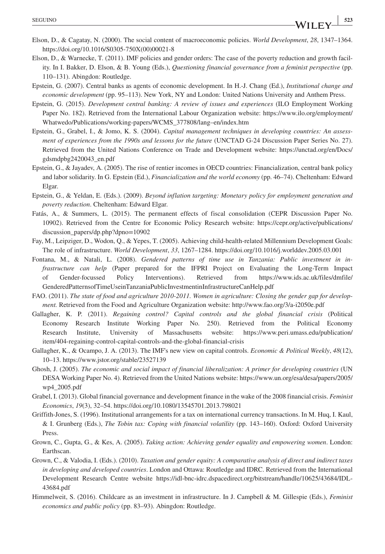- Elson, D., & Warnecke, T. (2011). IMF policies and gender orders: The case of the poverty reduction and growth facility. In I. Bakker, D. Elson, & B. Young (Eds.), *Questioning financial governance from a feminist perspective* (pp. 110–131). Abingdon: Routledge.
- Epstein, G. (2007). Central banks as agents of economic development. In H.-J. Chang (Ed.), *Institutional change and economic development* (pp. 95–113). New York, NY and London: United Nations University and Anthem Press.
- Epstein, G. (2015). *Development central banking: A review of issues and experiences* (ILO Employment Working Paper No. 182). Retrieved from the International Labour Organization website: [https://www.ilo.org/employment/](https://www.ilo.org/employment/Whatwedo/Publications/working-papers/WCMS_377808/lang%e2%80%93en/index.htm) [Whatwedo/Publications/working-papers/WCMS\\_377808/lang–en/index.htm](https://www.ilo.org/employment/Whatwedo/Publications/working-papers/WCMS_377808/lang%e2%80%93en/index.htm)
- Epstein, G., Grabel, I., & Jomo, K. S. (2004). *Capital management techniques in developing countries: An assessment of experiences from the 1990s and lessons for the future* (UNCTAD G-24 Discussion Paper Series No. 27). Retrieved from the United Nations Conference on Trade and Development website: [https://unctad.org/en/Docs/](https://unctad.org/en/Docs/gdsmdpbg2420043_en.pdf) [gdsmdpbg2420043\\_en.pdf](https://unctad.org/en/Docs/gdsmdpbg2420043_en.pdf)
- Epstein, G., & Jayadev, A. (2005). The rise of rentier incomes in OECD countries: Financialization, central bank policy and labor solidarity. In G. Epstein (Ed.), *Financialization and the world economy* (pp. 46–74). Cheltenham: Edward Elgar.
- Epstein, G., & Yeldan, E. (Eds.). (2009). *Beyond inflation targeting: Monetary policy for employment generation and poverty reduction*. Cheltenham: Edward Elgar.
- Fatás, A., & Summers, L. (2015). The permanent effects of fiscal consolidation (CEPR Discussion Paper No. 10902). Retrieved from the Centre for Economic Policy Research website: [https://cepr.org/active/publications/](https://cepr.org/active/publications/discussion_papers/dp.php?dpno=10902) [discussion\\_papers/dp.php?dpno=10902](https://cepr.org/active/publications/discussion_papers/dp.php?dpno=10902)
- Fay, M., Leipziger, D., Wodon, Q., & Yepes, T. (2005). Achieving child-health-related Millennium Development Goals: The role of infrastructure. *World Development*, *33*, 1267–1284. <https://doi.org/10.1016/j.worlddev.2005.03.001>
- Fontana, M., & Natali, L. (2008). *Gendered patterns of time use in Tanzania: Public investment in infrastructure can help* (Paper prepared for the IFPRI Project on Evaluating the Long-Term Impact of Gender-focussed Policy Interventions). Retrieved from [https://www.ids.ac.uk/files/dmfile/](https://www.ids.ac.uk/files/dmfile/GenderedPatternsofTimeUseinTanzaniaPublicInvestmentinInfrastructureCanHelp.pdf) [GenderedPatternsofTimeUseinTanzaniaPublicInvestmentinInfrastructureCanHelp.pdf](https://www.ids.ac.uk/files/dmfile/GenderedPatternsofTimeUseinTanzaniaPublicInvestmentinInfrastructureCanHelp.pdf)
- FAO. (2011). *The state of food and agriculture 2010-2011. Women in agriculture: Closing the gender gap for development.* Retrieved from the Food and Agriculture Organization website:<http://www.fao.org/3/a-i2050e.pdf>
- Gallagher, K. P. (2011). *Regaining control? Capital controls and the global financial crisis* (Political Economy Research Institute Working Paper No. 250). Retrieved from the Political Economy Research Institute, University of Massachusetts website: [https://www.peri.umass.edu/publication/](https://www.peri.umass.edu/publication/item/404-regaining-control-capital-controls-and-the-global-financial-crisis) [item/404-regaining-control-capital-controls-and-the-global-financial-crisis](https://www.peri.umass.edu/publication/item/404-regaining-control-capital-controls-and-the-global-financial-crisis)
- Gallagher, K., & Ocampo, J. A. (2013). The IMF's new view on capital controls. *Economic & Political Weekly*, *48*(12), 10–13.<https://www.jstor.org/stable/23527139>
- Ghosh, J. (2005). *The economic and social impact of financial liberalization: A primer for developing countries* (UN DESA Working Paper No. 4). Retrieved from the United Nations website: [https://www.un.org/esa/desa/papers/2005/](https://www.un.org/esa/desa/papers/2005/wp4_2005.pdf) [wp4\\_2005.pdf](https://www.un.org/esa/desa/papers/2005/wp4_2005.pdf)
- Grabel, I. (2013). Global financial governance and development finance in the wake of the 2008 financial crisis. *Feminist Economics*, *19*(3), 32–54.<https://doi.org/10.1080/13545701.2013.798021>
- Griffith-Jones, S. (1996). Institutional arrangements for a tax on international currency transactions. In M. Huq, I. Kaul, & I. Grunberg (Eds.), *The Tobin tax: Coping with financial volatility* (pp. 143–160). Oxford: Oxford University Press.
- Grown, C., Gupta, G., & Kes, A. (2005). *Taking action: Achieving gender equality and empowering women*. London: Earthscan.
- Grown, C., & Valodia, I. (Eds.). (2010). *Taxation and gender equity: A comparative analysis of direct and indirect taxes in developing and developed countries*. London and Ottawa: Routledge and IDRC. Retrieved from the International Development Research Centre website [https://idl-bnc-idrc.dspacedirect.org/bitstream/handle/10625/43684/IDL-](https://idl-bnc-idrc.dspacedirect.org/bitstream/handle/10625/43684/IDL-43684.pdf)[43684.pdf](https://idl-bnc-idrc.dspacedirect.org/bitstream/handle/10625/43684/IDL-43684.pdf)
- Himmelweit, S. (2016). Childcare as an investment in infrastructure. In J. Campbell & M. Gillespie (Eds.), *Feminist economics and public policy* (pp. 83–93). Abingdon: Routledge.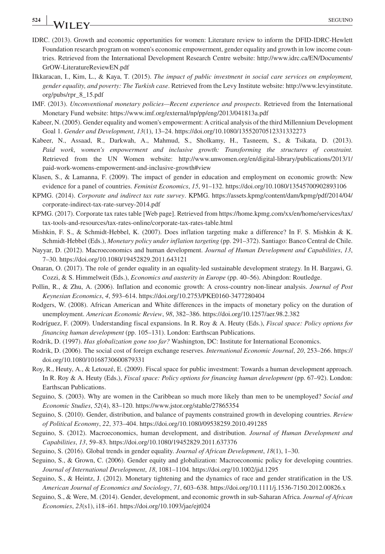## **524 WILEY WE**

- IDRC. (2013). Growth and economic opportunities for women: Literature review to inform the DFID-IDRC-Hewlett Foundation research program on women's economic empowerment, gender equality and growth in low income countries. Retrieved from the International Development Research Centre website: [http://www.idrc.ca/EN/Documents/](http://www.idrc.ca/EN/Documents/GrOW-LiteratureReviewEN.pdf) [GrOW-LiteratureReviewEN.pdf](http://www.idrc.ca/EN/Documents/GrOW-LiteratureReviewEN.pdf)
- İlkkaracan, I., Kim, L., & Kaya, T. (2015). *The impact of public investment in social care services on employment, gender equality, and poverty: The Turkish case*. Retrieved from the Levy Institute website: [http://www.levyinstitute.](http://www.levyinstitute.org/pubs/rpr_8_15.pdf) [org/pubs/rpr\\_8\\_15.pdf](http://www.levyinstitute.org/pubs/rpr_8_15.pdf)
- IMF. (2013). *Unconventional monetary policies—Recent experience and prospects*. Retrieved from the International Monetary Fund website: <https://www.imf.org/external/np/pp/eng/2013/041813a.pdf>
- Kabeer, N. (2005). Gender equality and women's empowerment: A critical analysis of the third Millennium Development Goal 1. *Gender and Development*, *13*(1), 13–24.<https://doi.org/10.1080/13552070512331332273>
- Kabeer, N., Assaad, R., Darkwah, A., Mahmud, S., Sholkamy, H., Tasneem, S., & Tsikata, D. (2013). *Paid work, women's empowerment and inclusive growth: Transforming the structures of constraint.* Retrieved from the UN Women website: [http://www.unwomen.org/en/digital-library/publications/2013/1/](http://www.unwomen.org/en/digital-library/publications/2013/1/paid-work-womens-empowerment-and-inclusive-growth#view) [paid-work-womens-empowerment-and-inclusive-growth#view](http://www.unwomen.org/en/digital-library/publications/2013/1/paid-work-womens-empowerment-and-inclusive-growth#view)
- Klasen, S., & Lamanna, F. (2009). The impact of gender in education and employment on economic growth: New evidence for a panel of countries. *Feminist Economics*, *15*, 91–132. <https://doi.org/10.1080/13545700902893106>
- KPMG. (2014). *Corporate and indirect tax rate survey*. KPMG. [https://assets.kpmg/content/dam/kpmg/pdf/2014/04/](https://assets.kpmg/content/dam/kpmg/pdf/2014/04/corporate-indirect-tax-rate-survey-2014.pdf) [corporate-indirect-tax-rate-survey-2014.pdf](https://assets.kpmg/content/dam/kpmg/pdf/2014/04/corporate-indirect-tax-rate-survey-2014.pdf)
- KPMG. (2017). Corporate tax rates table [Web page]. Retrieved from [https://home.kpmg.com/xx/en/home/services/tax/](https://home.kpmg.com/xx/en/home/services/tax/tax-tools-and-resources/tax-rates-online/corporate-tax-rates-table.html) [tax-tools-and-resources/tax-rates-online/corporate-tax-rates-table.html](https://home.kpmg.com/xx/en/home/services/tax/tax-tools-and-resources/tax-rates-online/corporate-tax-rates-table.html)
- Mishkin, F. S., & Schmidt-Hebbel, K. (2007). Does inflation targeting make a difference? In F. S. Mishkin & K. Schmidt-Hebbel (Eds.), *Monetary policy under inflation targeting* (pp. 291–372). Santiago: Banco Central de Chile.
- Nayyar, D. (2012). Macroeconomics and human development. *Journal of Human Development and Capabilities*, *13*, 7–30. <https://doi.org/10.1080/19452829.2011.643121>
- Onaran, O. (2017). The role of gender equality in an equality-led sustainable development strategy. In H. Bargawi, G. Cozzi, & S. Himmelweit (Eds.), *Economics and austerity in Europe* (pp. 40–56). Abingdon: Routledge.
- Pollin, R., & Zhu, A. (2006). Inflation and economic growth: A cross-country non-linear analysis. *Journal of Post Keynesian Economics*, *4*, 593–614.<https://doi.org/10.2753/PKE0160-3477280404>
- Rodgers, W. (2008). African American and White differences in the impacts of monetary policy on the duration of unemployment. *American Economic Review*, *98*, 382–386.<https://doi.org/10.1257/aer.98.2.382>
- Rodríguez, F. (2009). Understanding fiscal expansions. In R. Roy & A. Heuty (Eds.), *Fiscal space: Policy options for financing human development* (pp. 105–131). London: Earthscan Publications.
- Rodrik, D. (1997). *Has globalization gone too far?* Washington, DC: Institute for International Economics.
- Rodrik, D. (2006). The social cost of foreign exchange reserves. *International Economic Journal*, *20*, 253–266. [https://](https://doi.org/10.1080/10168730600879331) [doi.org/10.1080/10168730600879331](https://doi.org/10.1080/10168730600879331)
- Roy, R., Heuty, A., & Letouzé, E. (2009). Fiscal space for public investment: Towards a human development approach. In R. Roy & A. Heuty (Eds.), *Fiscal space: Policy options for financing human development* (pp. 67–92). London: Earthscan Publications.
- Seguino, S. (2003). Why are women in the Caribbean so much more likely than men to be unemployed? *Social and Economic Studies*, *52*(4), 83–120. <https://www.jstor.org/stable/27865354>
- Seguino, S. (2010). Gender, distribution, and balance of payments constrained growth in developing countries. *Review of Political Economy*, *22*, 373–404. <https://doi.org/10.1080/09538259.2010.491285>
- Seguino, S. (2012). Macroeconomics, human development, and distribution. *Journal of Human Development and Capabilities*, *13*, 59–83. <https://doi.org/10.1080/19452829.2011.637376>
- Seguino, S. (2016). Global trends in gender equality. *Journal of African Development*, *18*(1), 1–30.
- Seguino, S., & Grown, C. (2006). Gender equity and globalization: Macroeconomic policy for developing countries. *Journal of International Development*, *18*, 1081–1104.<https://doi.org/10.1002/jid.1295>
- Seguino, S., & Heintz, J. (2012). Monetary tightening and the dynamics of race and gender stratification in the US. *American Journal of Economics and Sociology*, *71*, 603–638.<https://doi.org/10.1111/j.1536-7150.2012.00826.x>
- Seguino, S., & Were, M. (2014). Gender, development, and economic growth in sub-Saharan Africa. *Journal of African Economies*, *23*(s1), i18–i61.<https://doi.org/10.1093/jae/ejt024>